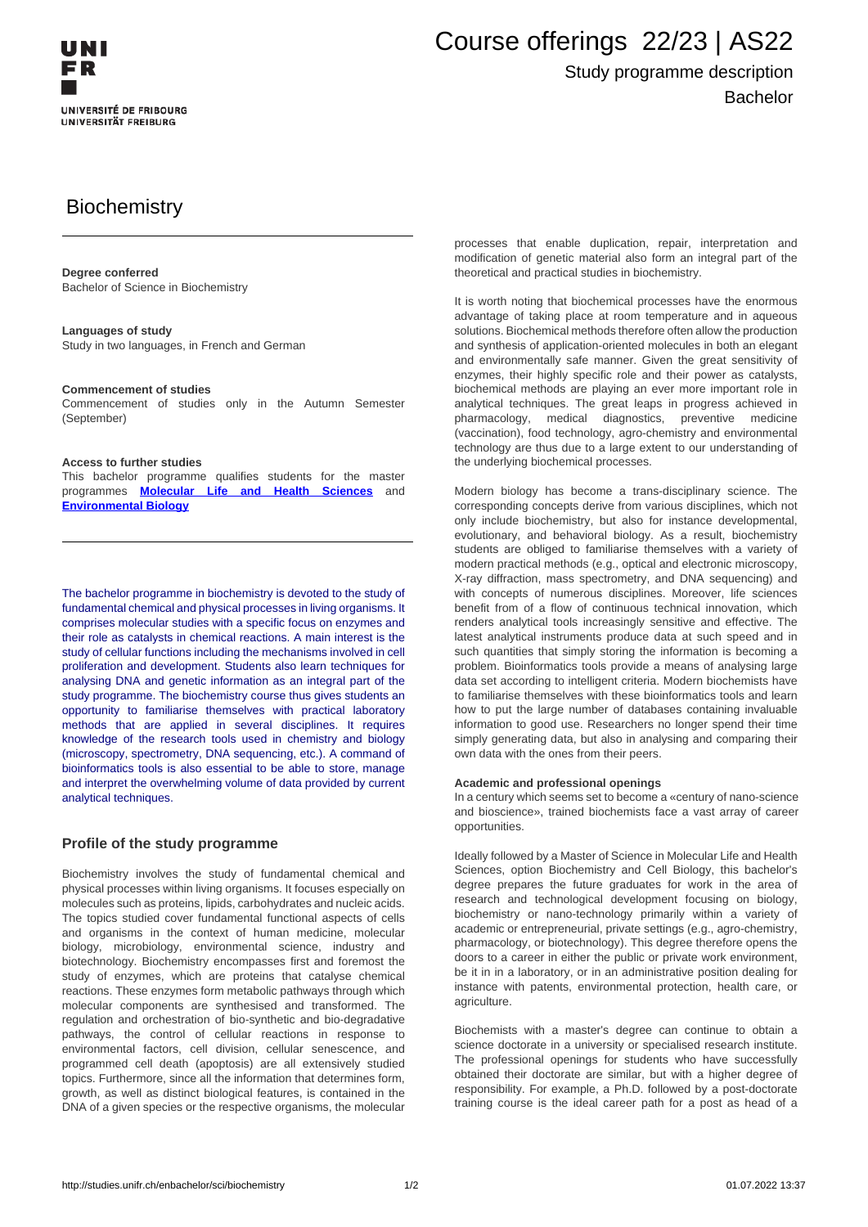

# Course offerings 22/23 | AS22

## Study programme description Bachelor

# **Biochemistry**

### **Degree conferred**

Bachelor of Science in Biochemistry

### **Languages of study**

Study in two languages, in French and German

#### **Commencement of studies**

Commencement of studies only in the Autumn Semester (September)

### **Access to further studies**

This bachelor programme qualifies students for the master programmes **[Molecular Life and Health Sciences](http://studies.unifr.ch/en/master/sci/biochemistry)** and **Environmental Biology**

The bachelor programme in biochemistry is devoted to the study of fundamental chemical and physical processes in living organisms. It comprises molecular studies with a specific focus on enzymes and their role as catalysts in chemical reactions. A main interest is the study of cellular functions including the mechanisms involved in cell proliferation and development. Students also learn techniques for analysing DNA and genetic information as an integral part of the study programme. The biochemistry course thus gives students an opportunity to familiarise themselves with practical laboratory methods that are applied in several disciplines. It requires knowledge of the research tools used in chemistry and biology (microscopy, spectrometry, DNA sequencing, etc.). A command of bioinformatics tools is also essential to be able to store, manage and interpret the overwhelming volume of data provided by current analytical techniques.

### **Profile of the study programme**

Biochemistry involves the study of fundamental chemical and physical processes within living organisms. It focuses especially on molecules such as proteins, lipids, carbohydrates and nucleic acids. The topics studied cover fundamental functional aspects of cells and organisms in the context of human medicine, molecular biology, microbiology, environmental science, industry and biotechnology. Biochemistry encompasses first and foremost the study of enzymes, which are proteins that catalyse chemical reactions. These enzymes form metabolic pathways through which molecular components are synthesised and transformed. The regulation and orchestration of bio-synthetic and bio-degradative pathways, the control of cellular reactions in response to environmental factors, cell division, cellular senescence, and programmed cell death (apoptosis) are all extensively studied topics. Furthermore, since all the information that determines form, growth, as well as distinct biological features, is contained in the DNA of a given species or the respective organisms, the molecular

processes that enable duplication, repair, interpretation and modification of genetic material also form an integral part of the theoretical and practical studies in biochemistry.

It is worth noting that biochemical processes have the enormous advantage of taking place at room temperature and in aqueous solutions. Biochemical methods therefore often allow the production and synthesis of application-oriented molecules in both an elegant and environmentally safe manner. Given the great sensitivity of enzymes, their highly specific role and their power as catalysts, biochemical methods are playing an ever more important role in analytical techniques. The great leaps in progress achieved in pharmacology, medical diagnostics, preventive medicine (vaccination), food technology, agro-chemistry and environmental technology are thus due to a large extent to our understanding of the underlying biochemical processes.

Modern biology has become a trans-disciplinary science. The corresponding concepts derive from various disciplines, which not only include biochemistry, but also for instance developmental, evolutionary, and behavioral biology. As a result, biochemistry students are obliged to familiarise themselves with a variety of modern practical methods (e.g., optical and electronic microscopy, X-ray diffraction, mass spectrometry, and DNA sequencing) and with concepts of numerous disciplines. Moreover, life sciences benefit from of a flow of continuous technical innovation, which renders analytical tools increasingly sensitive and effective. The latest analytical instruments produce data at such speed and in such quantities that simply storing the information is becoming a problem. Bioinformatics tools provide a means of analysing large data set according to intelligent criteria. Modern biochemists have to familiarise themselves with these bioinformatics tools and learn how to put the large number of databases containing invaluable information to good use. Researchers no longer spend their time simply generating data, but also in analysing and comparing their own data with the ones from their peers.

#### **Academic and professional openings**

In a century which seems set to become a «century of nano-science and bioscience», trained biochemists face a vast array of career opportunities.

Ideally followed by a Master of Science in Molecular Life and Health Sciences, option Biochemistry and Cell Biology, this bachelor's degree prepares the future graduates for work in the area of research and technological development focusing on biology, biochemistry or nano-technology primarily within a variety of academic or entrepreneurial, private settings (e.g., agro-chemistry, pharmacology, or biotechnology). This degree therefore opens the doors to a career in either the public or private work environment, be it in in a laboratory, or in an administrative position dealing for instance with patents, environmental protection, health care, or agriculture.

Biochemists with a master's degree can continue to obtain a science doctorate in a university or specialised research institute. The professional openings for students who have successfully obtained their doctorate are similar, but with a higher degree of responsibility. For example, a Ph.D. followed by a post-doctorate training course is the ideal career path for a post as head of a